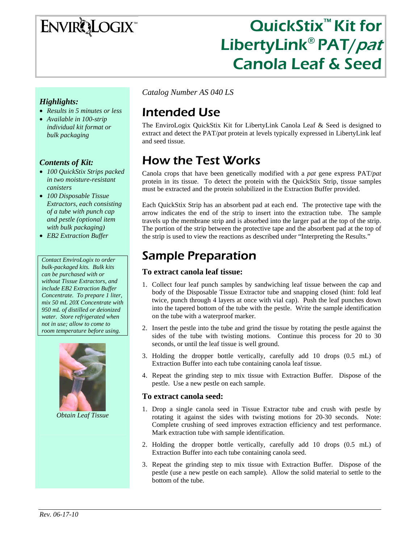# ENVIRQLOGIX

## QuickStix™ Kit for LibertyLink<sup>®</sup> PAT/pat Canola Leaf & Seed

#### *Highlights:*

- *Results in 5 minutes or less*
- *Available in 100-strip individual kit format or bulk packaging*

#### *Contents of Kit:*

- *100 QuickStix Strips packed in two moisture-resistant canisters*
- *100 Disposable Tissue Extractors, each consisting of a tube with punch cap and pestle (optional item with bulk packaging)*
- *EB2 Extraction Buffer*

*Contact EnviroLogix to order bulk-packaged kits. Bulk kits can be purchased with or without Tissue Extractors, and include EB2 Extraction Buffer Concentrate. To prepare 1 liter, mix 50 mL 20X Concentrate with 950 mL of distilled or deionized water. Store refrigerated when not in use; allow to come to room temperature before using.* 



*Obtain Leaf Tissue* 

*Catalog Number AS 040 LS* 

### Intended Use

The EnviroLogix QuickStix Kit for LibertyLink Canola Leaf & Seed is designed to extract and detect the PAT/*pat* protein at levels typically expressed in LibertyLink leaf and seed tissue.

### How the Test Works

Canola crops that have been genetically modified with a *pat* gene express PAT/*pat* protein in its tissue. To detect the protein with the QuickStix Strip, tissue samples must be extracted and the protein solubilized in the Extraction Buffer provided.

Each QuickStix Strip has an absorbent pad at each end. The protective tape with the arrow indicates the end of the strip to insert into the extraction tube. The sample travels up the membrane strip and is absorbed into the larger pad at the top of the strip. The portion of the strip between the protective tape and the absorbent pad at the top of the strip is used to view the reactions as described under "Interpreting the Results."

### Sample Preparation

#### **To extract canola leaf tissue:**

- 1. Collect four leaf punch samples by sandwiching leaf tissue between the cap and body of the Disposable Tissue Extractor tube and snapping closed (hint: fold leaf twice, punch through 4 layers at once with vial cap). Push the leaf punches down into the tapered bottom of the tube with the pestle. Write the sample identification on the tube with a waterproof marker.
- 2. Insert the pestle into the tube and grind the tissue by rotating the pestle against the sides of the tube with twisting motions. Continue this process for 20 to 30 seconds, or until the leaf tissue is well ground.
- 3. Holding the dropper bottle vertically, carefully add 10 drops (0.5 mL) of Extraction Buffer into each tube containing canola leaf tissue.
- 4. Repeat the grinding step to mix tissue with Extraction Buffer. Dispose of the pestle. Use a new pestle on each sample.

#### **To extract canola seed:**

- 1. Drop a single canola seed in Tissue Extractor tube and crush with pestle by rotating it against the sides with twisting motions for 20-30 seconds. Note: Complete crushing of seed improves extraction efficiency and test performance. Mark extraction tube with sample identification.
- 2. Holding the dropper bottle vertically, carefully add 10 drops (0.5 mL) of Extraction Buffer into each tube containing canola seed.
- 3. Repeat the grinding step to mix tissue with Extraction Buffer. Dispose of the pestle (use a new pestle on each sample). Allow the solid material to settle to the bottom of the tube.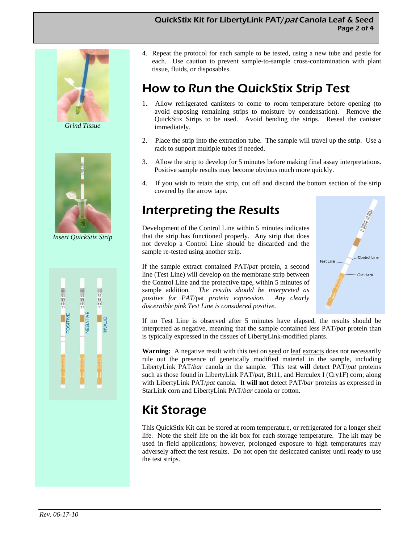#### QuickStix Kit for LibertyLink PAT/pat Canola Leaf & Seed Page 2 of 4



*Grind Tissue* 



*Insert QuickStix Strip* 



4. Repeat the protocol for each sample to be tested, using a new tube and pestle for each. Use caution to prevent sample-to-sample cross-contamination with plant tissue, fluids, or disposables.

### How to Run the QuickStix Strip Test

- 1. Allow refrigerated canisters to come to room temperature before opening (to avoid exposing remaining strips to moisture by condensation). Remove the QuickStix Strips to be used. Avoid bending the strips. Reseal the canister immediately.
- 2. Place the strip into the extraction tube. The sample will travel up the strip. Use a rack to support multiple tubes if needed.
- 3. Allow the strip to develop for 5 minutes before making final assay interpretations. Positive sample results may become obvious much more quickly.
- 4. If you wish to retain the strip, cut off and discard the bottom section of the strip covered by the arrow tape.

### Interpreting the Results

Development of the Control Line within 5 minutes indicates that the strip has functioned properly. Any strip that does not develop a Control Line should be discarded and the sample re-tested using another strip.

If the sample extract contained PAT/*pat* protein, a second line (Test Line) will develop on the membrane strip between the Control Line and the protective tape, within 5 minutes of sample addition*. The results should be interpreted as positive for PAT/*pat *protein expression*. *Any clearly discernible pink Test Line is considered positive.*



If no Test Line is observed after 5 minutes have elapsed, the results should be interpreted as negative, meaning that the sample contained less PAT/*pat* protein than is typically expressed in the tissues of LibertyLink-modified plants.

Warning: A negative result with this test on seed or leaf extracts does not necessarily rule out the presence of genetically modified material in the sample, including LibertyLink PAT/*bar* canola in the sample. This test **will** detect PAT/*pat* proteins such as those found in LibertyLink PAT/*pat*, Bt11, and Herculex I (Cry1F) corn; along with LibertyLink PAT/*pat* canola. It **will not** detect PAT/*bar* proteins as expressed in StarLink corn and LibertyLink PAT/*bar* canola or cotton.

### Kit Storage

This QuickStix Kit can be stored at room temperature, or refrigerated for a longer shelf life. Note the shelf life on the kit box for each storage temperature. The kit may be used in field applications; however, prolonged exposure to high temperatures may adversely affect the test results. Do not open the desiccated canister until ready to use the test strips.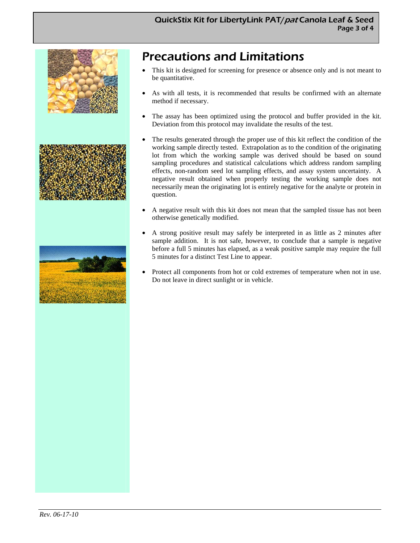

## Precautions and Limitations

- This kit is designed for screening for presence or absence only and is not meant to be quantitative.
- As with all tests, it is recommended that results be confirmed with an alternate method if necessary.
- The assay has been optimized using the protocol and buffer provided in the kit. Deviation from this protocol may invalidate the results of the test.
- The results generated through the proper use of this kit reflect the condition of the working sample directly tested. Extrapolation as to the condition of the originating lot from which the working sample was derived should be based on sound sampling procedures and statistical calculations which address random sampling effects, non-random seed lot sampling effects, and assay system uncertainty. A negative result obtained when properly testing the working sample does not necessarily mean the originating lot is entirely negative for the analyte or protein in question.
- A negative result with this kit does not mean that the sampled tissue has not been otherwise genetically modified.
- A strong positive result may safely be interpreted in as little as 2 minutes after sample addition. It is not safe, however, to conclude that a sample is negative before a full 5 minutes has elapsed, as a weak positive sample may require the full 5 minutes for a distinct Test Line to appear.
- Protect all components from hot or cold extremes of temperature when not in use. Do not leave in direct sunlight or in vehicle.